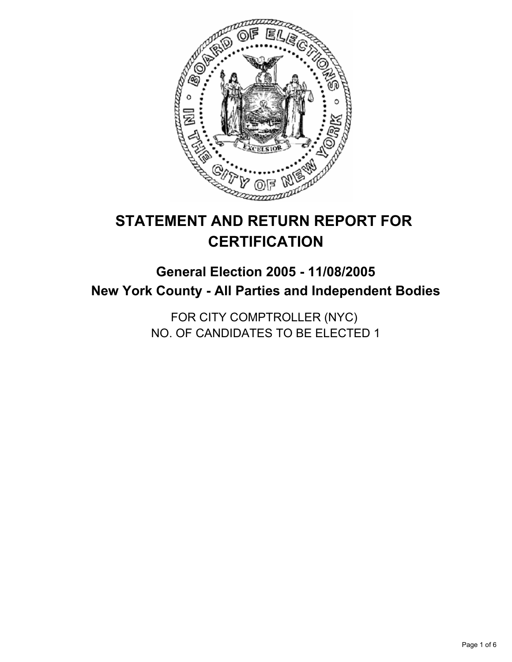

# **STATEMENT AND RETURN REPORT FOR CERTIFICATION**

## **General Election 2005 - 11/08/2005 New York County - All Parties and Independent Bodies**

FOR CITY COMPTROLLER (NYC) NO. OF CANDIDATES TO BE ELECTED 1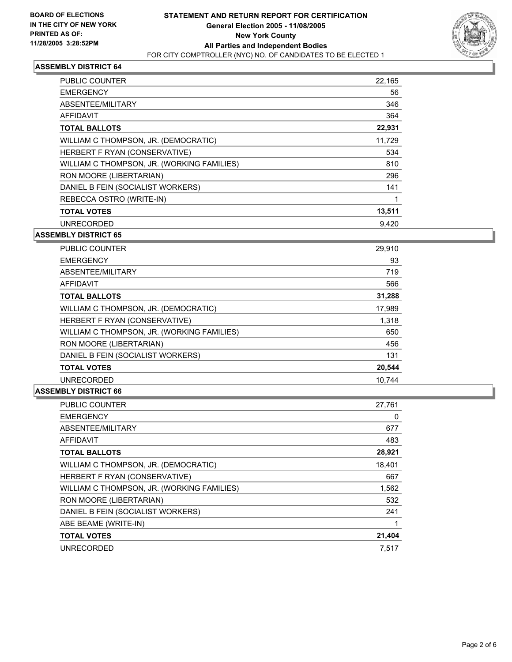

| PUBLIC COUNTER                             | 22,165 |  |
|--------------------------------------------|--------|--|
| <b>EMERGENCY</b>                           | 56     |  |
| ABSENTEE/MILITARY                          | 346    |  |
| AFFIDAVIT                                  | 364    |  |
| <b>TOTAL BALLOTS</b>                       | 22,931 |  |
| WILLIAM C THOMPSON, JR. (DEMOCRATIC)       | 11,729 |  |
| HERBERT F RYAN (CONSERVATIVE)              | 534    |  |
| WILLIAM C THOMPSON, JR. (WORKING FAMILIES) | 810    |  |
| RON MOORE (LIBERTARIAN)                    | 296    |  |
| DANIEL B FEIN (SOCIALIST WORKERS)          | 141    |  |
| REBECCA OSTRO (WRITE-IN)                   |        |  |
| <b>TOTAL VOTES</b>                         | 13,511 |  |
| <b>UNRECORDED</b>                          | 9.420  |  |

#### **ASSEMBLY DISTRICT 65**

| <b>PUBLIC COUNTER</b>                      | 29,910 |
|--------------------------------------------|--------|
| <b>EMERGENCY</b>                           | 93     |
| ABSENTEE/MILITARY                          | 719    |
| AFFIDAVIT                                  | 566    |
| <b>TOTAL BALLOTS</b>                       | 31,288 |
| WILLIAM C THOMPSON, JR. (DEMOCRATIC)       | 17,989 |
| HERBERT F RYAN (CONSERVATIVE)              | 1,318  |
| WILLIAM C THOMPSON, JR. (WORKING FAMILIES) | 650    |
| RON MOORE (LIBERTARIAN)                    | 456    |
| DANIEL B FEIN (SOCIALIST WORKERS)          | 131    |
| <b>TOTAL VOTES</b>                         | 20,544 |
| <b>UNRECORDED</b>                          | 10.744 |

| <b>PUBLIC COUNTER</b>                      | 27,761 |
|--------------------------------------------|--------|
| <b>EMERGENCY</b>                           | 0      |
| ABSENTEE/MILITARY                          | 677    |
| <b>AFFIDAVIT</b>                           | 483    |
| <b>TOTAL BALLOTS</b>                       | 28,921 |
| WILLIAM C THOMPSON, JR. (DEMOCRATIC)       | 18,401 |
| HERBERT F RYAN (CONSERVATIVE)              | 667    |
| WILLIAM C THOMPSON, JR. (WORKING FAMILIES) | 1,562  |
| RON MOORE (LIBERTARIAN)                    | 532    |
| DANIEL B FEIN (SOCIALIST WORKERS)          | 241    |
| ABE BEAME (WRITE-IN)                       |        |
| <b>TOTAL VOTES</b>                         | 21,404 |
| <b>UNRECORDED</b>                          | 7.517  |
|                                            |        |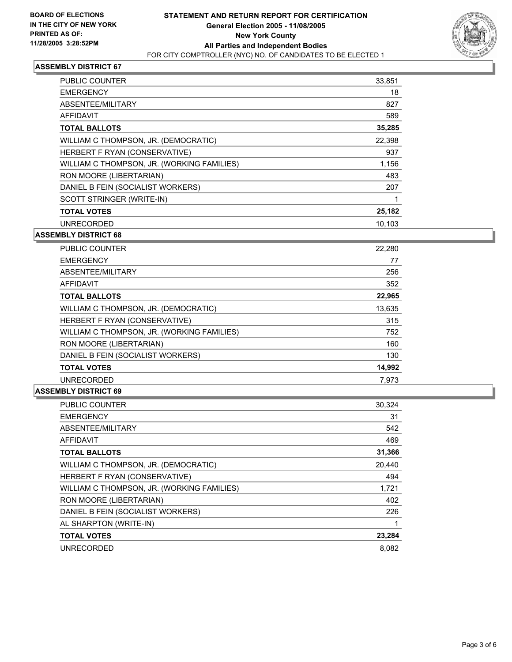

| <b>PUBLIC COUNTER</b>                      | 33,851 |
|--------------------------------------------|--------|
| <b>EMERGENCY</b>                           | 18     |
| ABSENTEE/MILITARY                          | 827    |
| <b>AFFIDAVIT</b>                           | 589    |
| <b>TOTAL BALLOTS</b>                       | 35,285 |
| WILLIAM C THOMPSON, JR. (DEMOCRATIC)       | 22.398 |
| HERBERT F RYAN (CONSERVATIVE)              | 937    |
| WILLIAM C THOMPSON, JR. (WORKING FAMILIES) | 1,156  |
| RON MOORE (LIBERTARIAN)                    | 483    |
| DANIEL B FEIN (SOCIALIST WORKERS)          | 207    |
| SCOTT STRINGER (WRITE-IN)                  |        |
| <b>TOTAL VOTES</b>                         | 25,182 |
| <b>UNRECORDED</b>                          | 10,103 |

#### **ASSEMBLY DISTRICT 68**

| <b>PUBLIC COUNTER</b>                      | 22,280 |
|--------------------------------------------|--------|
| <b>EMERGENCY</b>                           | 77     |
| ABSENTEE/MILITARY                          | 256    |
| AFFIDAVIT                                  | 352    |
| <b>TOTAL BALLOTS</b>                       | 22,965 |
| WILLIAM C THOMPSON, JR. (DEMOCRATIC)       | 13,635 |
| HERBERT F RYAN (CONSERVATIVE)              | 315    |
| WILLIAM C THOMPSON, JR. (WORKING FAMILIES) | 752    |
| RON MOORE (LIBERTARIAN)                    | 160    |
| DANIEL B FEIN (SOCIALIST WORKERS)          | 130    |
| <b>TOTAL VOTES</b>                         | 14,992 |
| <b>UNRECORDED</b>                          | 7,973  |

| <b>PUBLIC COUNTER</b>                      | 30,324 |
|--------------------------------------------|--------|
| <b>EMERGENCY</b>                           | 31     |
| ABSENTEE/MILITARY                          | 542    |
| <b>AFFIDAVIT</b>                           | 469    |
| <b>TOTAL BALLOTS</b>                       | 31,366 |
| WILLIAM C THOMPSON, JR. (DEMOCRATIC)       | 20,440 |
| HERBERT F RYAN (CONSERVATIVE)              | 494    |
| WILLIAM C THOMPSON, JR. (WORKING FAMILIES) | 1,721  |
| RON MOORE (LIBERTARIAN)                    | 402    |
| DANIEL B FEIN (SOCIALIST WORKERS)          | 226    |
| AL SHARPTON (WRITE-IN)                     |        |
| <b>TOTAL VOTES</b>                         | 23,284 |
| <b>UNRECORDED</b>                          | 8.082  |
|                                            |        |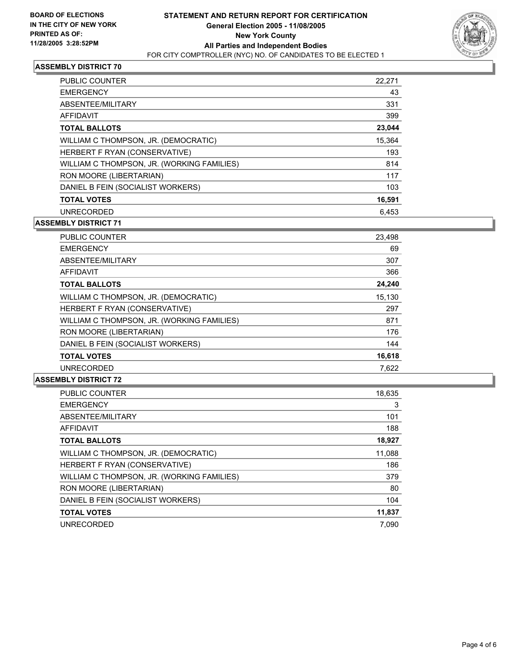

| <b>PUBLIC COUNTER</b>                      | 22,271 |
|--------------------------------------------|--------|
| <b>EMERGENCY</b>                           | 43     |
| ABSENTEE/MILITARY                          | 331    |
| AFFIDAVIT                                  | 399    |
| <b>TOTAL BALLOTS</b>                       | 23,044 |
| WILLIAM C THOMPSON, JR. (DEMOCRATIC)       | 15,364 |
| HERBERT F RYAN (CONSERVATIVE)              | 193    |
| WILLIAM C THOMPSON, JR. (WORKING FAMILIES) | 814    |
| RON MOORE (LIBERTARIAN)                    | 117    |
| DANIEL B FEIN (SOCIALIST WORKERS)          | 103    |
| <b>TOTAL VOTES</b>                         | 16,591 |
| <b>UNRECORDED</b>                          | 6.453  |

## **ASSEMBLY DISTRICT 71**

| <b>PUBLIC COUNTER</b>                      | 23,498 |
|--------------------------------------------|--------|
| <b>EMERGENCY</b>                           | 69     |
| ABSENTEE/MILITARY                          | 307    |
| AFFIDAVIT                                  | 366    |
| <b>TOTAL BALLOTS</b>                       | 24,240 |
| WILLIAM C THOMPSON, JR. (DEMOCRATIC)       | 15,130 |
| HERBERT F RYAN (CONSERVATIVE)              | 297    |
| WILLIAM C THOMPSON, JR. (WORKING FAMILIES) | 871    |
| RON MOORE (LIBERTARIAN)                    | 176    |
| DANIEL B FEIN (SOCIALIST WORKERS)          | 144    |
| <b>TOTAL VOTES</b>                         | 16,618 |
| <b>UNRECORDED</b>                          | 7,622  |

| <b>PUBLIC COUNTER</b>                      | 18,635 |
|--------------------------------------------|--------|
| <b>EMERGENCY</b>                           | 3      |
| ABSENTEE/MILITARY                          | 101    |
| AFFIDAVIT                                  | 188    |
| <b>TOTAL BALLOTS</b>                       | 18,927 |
| WILLIAM C THOMPSON, JR. (DEMOCRATIC)       | 11,088 |
| HERBERT F RYAN (CONSERVATIVE)              | 186    |
| WILLIAM C THOMPSON, JR. (WORKING FAMILIES) | 379    |
| RON MOORE (LIBERTARIAN)                    | 80     |
| DANIEL B FEIN (SOCIALIST WORKERS)          | 104    |
| <b>TOTAL VOTES</b>                         | 11,837 |
| <b>UNRECORDED</b>                          | 7.090  |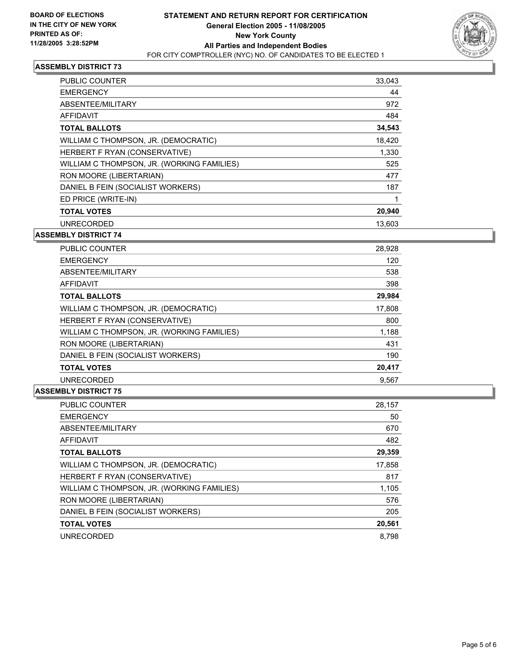

| <b>PUBLIC COUNTER</b>                      | 33,043 |
|--------------------------------------------|--------|
| <b>EMERGENCY</b>                           | 44     |
| ABSENTEE/MILITARY                          | 972    |
| AFFIDAVIT                                  | 484    |
| <b>TOTAL BALLOTS</b>                       | 34,543 |
| WILLIAM C THOMPSON, JR. (DEMOCRATIC)       | 18,420 |
| HERBERT F RYAN (CONSERVATIVE)              | 1,330  |
| WILLIAM C THOMPSON, JR. (WORKING FAMILIES) | 525    |
| RON MOORE (LIBERTARIAN)                    | 477    |
| DANIEL B FEIN (SOCIALIST WORKERS)          | 187    |
| ED PRICE (WRITE-IN)                        |        |
| <b>TOTAL VOTES</b>                         | 20,940 |
| <b>UNRECORDED</b>                          | 13.603 |

#### **ASSEMBLY DISTRICT 74**

| <b>PUBLIC COUNTER</b>                      | 28,928 |
|--------------------------------------------|--------|
| <b>EMERGENCY</b>                           | 120    |
| ABSENTEE/MILITARY                          | 538    |
| AFFIDAVIT                                  | 398    |
| <b>TOTAL BALLOTS</b>                       | 29,984 |
| WILLIAM C THOMPSON, JR. (DEMOCRATIC)       | 17,808 |
| HERBERT F RYAN (CONSERVATIVE)              | 800    |
| WILLIAM C THOMPSON, JR. (WORKING FAMILIES) | 1,188  |
| RON MOORE (LIBERTARIAN)                    | 431    |
| DANIEL B FEIN (SOCIALIST WORKERS)          | 190    |
| <b>TOTAL VOTES</b>                         | 20,417 |
| <b>UNRECORDED</b>                          | 9.567  |

| <b>PUBLIC COUNTER</b>                      | 28,157 |
|--------------------------------------------|--------|
| <b>EMERGENCY</b>                           | 50     |
| ABSENTEE/MILITARY                          | 670    |
| AFFIDAVIT                                  | 482    |
| <b>TOTAL BALLOTS</b>                       | 29,359 |
| WILLIAM C THOMPSON, JR. (DEMOCRATIC)       | 17,858 |
| HERBERT F RYAN (CONSERVATIVE)              | 817    |
| WILLIAM C THOMPSON, JR. (WORKING FAMILIES) | 1,105  |
| RON MOORE (LIBERTARIAN)                    | 576    |
| DANIEL B FEIN (SOCIALIST WORKERS)          | 205    |
| <b>TOTAL VOTES</b>                         | 20,561 |
| <b>UNRECORDED</b>                          | 8.798  |